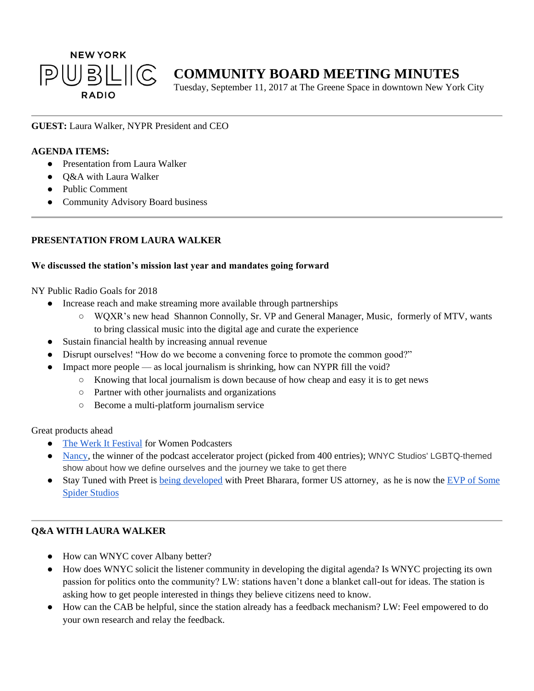

# **COMMUNITY BOARD MEETING MINUTES**

Tuesday, September 11, 2017 at The Greene Space in downtown New York City

#### **GUEST:** Laura Walker, NYPR President and CEO

#### **AGENDA ITEMS:**

- Presentation from Laura Walker
- O&A with Laura Walker
- Public Comment
- Community Advisory Board business

# **PRESENTATION FROM LAURA WALKER**

#### **We discussed the station's mission last year and mandates going forward**

NY Public Radio Goals for 2018

- Increase reach and make streaming more available through partnerships
	- WQXR's new head Shannon Connolly, Sr. VP and General Manager, Music, formerly of MTV, wants to bring classical music into the digital age and curate the experience
- Sustain financial health by increasing annual revenue
- Disrupt ourselves! "How do we become a convening force to promote the common good?"
- Impact more people as local journalism is shrinking, how can NYPR fill the void?
	- Knowing that local journalism is down because of how cheap and easy it is to get news
	- Partner with other journalists and organizations
	- Become a multi-platform journalism service

Great products ahead

- [The Werk It Festival](https://www.werkitfestival.com/) for Women Podcasters
- [Nancy,](http://www.wnyc.org/shows/nancy) the winner of the podcast accelerator project (picked from 400 entries); WNYC Studios' LGBTQ-themed show about how we define ourselves and the journey we take to get there
- Stay Tuned with Preet is [being developed](http://www.wnyc.org/story/stay-tuned-preet-bharara-new-podcast/) with Preet Bharara, former US attorney, as he is now the [EVP of Some](http://www.adweek.com/digital/preet-bharara-joins-some-spider-studios/)  [Spider Studios](http://www.adweek.com/digital/preet-bharara-joins-some-spider-studios/)

## **Q&A WITH LAURA WALKER**

- How can WNYC cover Albany better?
- How does WNYC solicit the listener community in developing the digital agenda? Is WNYC projecting its own passion for politics onto the community? LW: stations haven't done a blanket call-out for ideas. The station is asking how to get people interested in things they believe citizens need to know.
- How can the CAB be helpful, since the station already has a feedback mechanism? LW: Feel empowered to do your own research and relay the feedback.